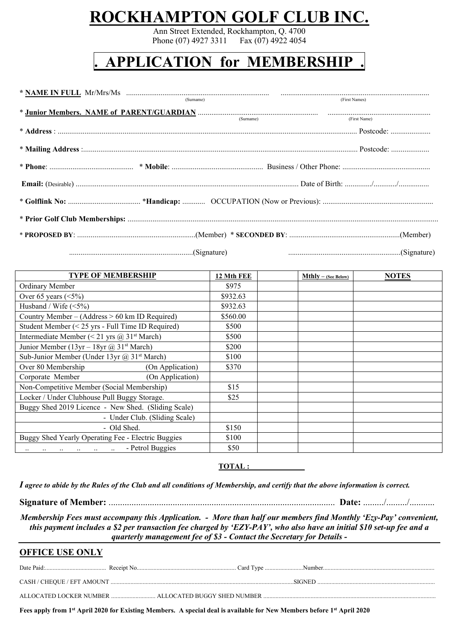# **ROCKHAMPTON GOLF CLUB INC.**

Ann Street Extended, Rockhampton, Q. 4700 Phone (07) 4927 3311 Fax (07) 4922 4054

## **. APPLICATION for MEMBERSHIP .**

| (Signature) (Signature and Signature and Signature and Signature and Signature and Signature and Signature and Signature and Signature and Signature and Signature and Signature and Signature and Signature and Signature and |  |
|--------------------------------------------------------------------------------------------------------------------------------------------------------------------------------------------------------------------------------|--|

**TYPE OF MEMBERSHIP 12 Mth FEE Mthly**  $-$  **(See Below) NOTES** Ordinary Member \$975 Over 65 years (<5%) \$932.63 Husband / Wife  $(\leq 5\%)$  \$932.63 Country Member – (Address  $> 60$  km ID Required) \$560.00 Student Member  $(< 25 \text{ yrs}$  - Full Time ID Required)  $\qquad \qquad$  \$500 Intermediate Member (< 21 yrs  $\omega$  31<sup>st</sup> March) \$500 Junior Member (13yr – 18yr @ 31<sup>st</sup> March) \$200 Sub-Junior Member (Under 13yr  $(a)$ , 31<sup>st</sup> March) \$100 Over 80 Membership (On Application) \$370 Corporate Member (On Application) Non-Competitive Member (Social Membership) \$15 Locker / Under Clubhouse Pull Buggy Storage. \$25 Buggy Shed 2019 Licence - New Shed. (Sliding Scale) - Under Club. (Sliding Scale)  $-$  Old Shed.  $$150$ Buggy Shed Yearly Operating Fee - Electric Buggies  $\vert$  \$100 .. .. .. .. .. .. - Petrol Buggies 350

 $TOTAL:$ 

*I agree to abide by the Rules of the Club and all conditions of Membership, and certify that the above information is correct.*

**Signature of Member:** ................................................................................................... **Date:** ........./........./...........

*Membership Fees must accompany this Application. - More than half our members find Monthly 'Ezy-Pay' convenient, this payment includes a \$2 per transaction fee charged by 'EZY-PAY', who also have an initial \$10 set-up fee and a quarterly management fee of \$3 - Contact the Secretary for Details -*

### **OFFICE USE ONLY**

**Fees apply from 1st April 2020 for Existing Members. A special deal is available for New Members before 1st April 2020**